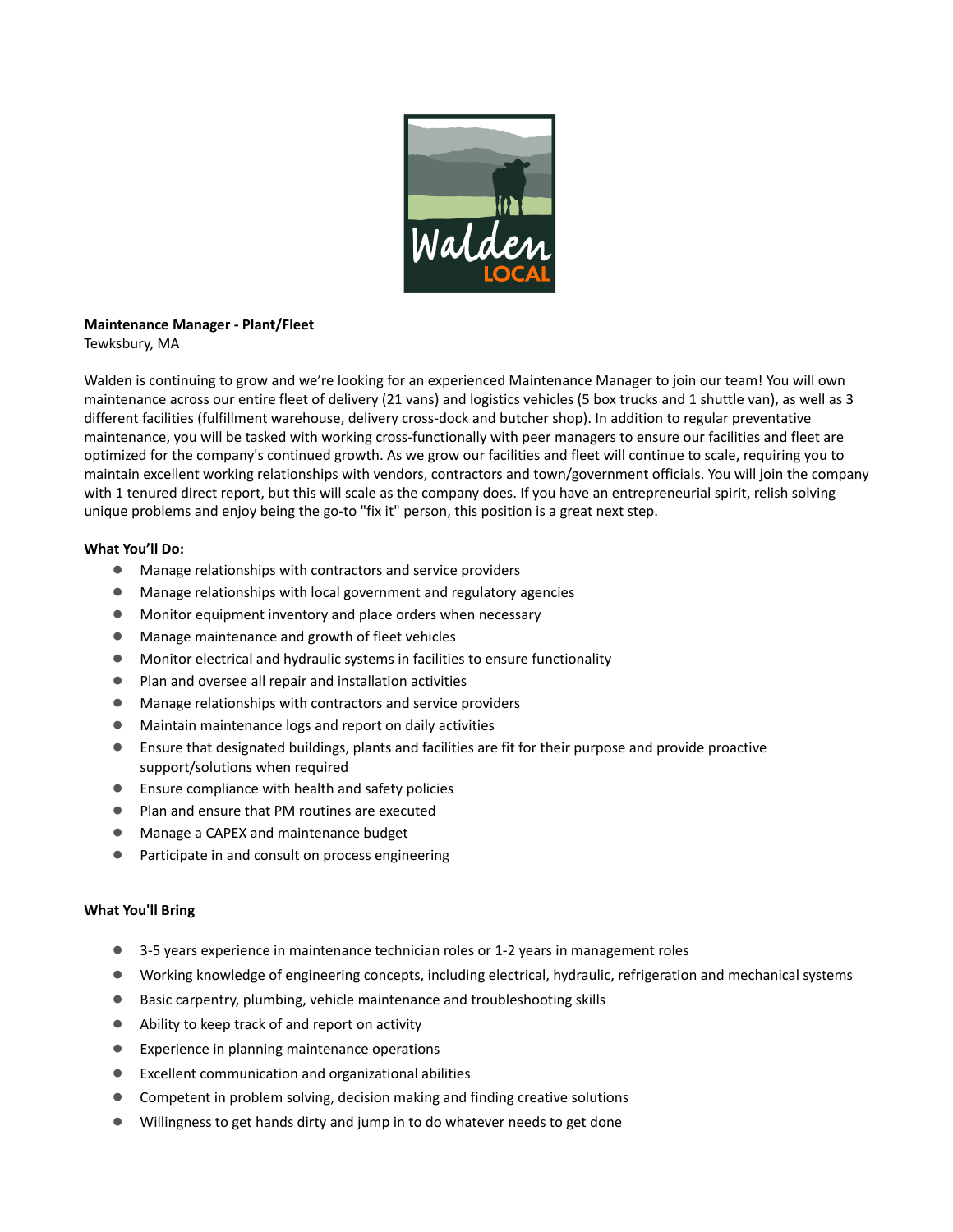

# **Maintenance Manager - Plant/Fleet**

Tewksbury, MA

Walden is continuing to grow and we're looking for an experienced Maintenance Manager to join our team! You will own maintenance across our entire fleet of delivery (21 vans) and logistics vehicles (5 box trucks and 1 shuttle van), as well as 3 different facilities (fulfillment warehouse, delivery cross-dock and butcher shop). In addition to regular preventative maintenance, you will be tasked with working cross-functionally with peer managers to ensure our facilities and fleet are optimized for the company's continued growth. As we grow our facilities and fleet will continue to scale, requiring you to maintain excellent working relationships with vendors, contractors and town/government officials. You will join the company with 1 tenured direct report, but this will scale as the company does. If you have an entrepreneurial spirit, relish solving unique problems and enjoy being the go-to "fix it" person, this position is a great next step.

## **What You'll Do:**

- Manage relationships with contractors and service providers
- Manage relationships with local government and regulatory agencies
- Monitor equipment inventory and place orders when necessary
- Manage maintenance and growth of fleet vehicles
- Monitor electrical and hydraulic systems in facilities to ensure functionality
- Plan and oversee all repair and installation activities
- Manage relationships with contractors and service providers
- Maintain maintenance logs and report on daily activities
- Ensure that designated buildings, plants and facilities are fit for their purpose and provide proactive support/solutions when required
- Ensure compliance with health and safety policies
- Plan and ensure that PM routines are executed
- Manage a CAPEX and maintenance budget
- Participate in and consult on process engineering

### **What You'll Bring**

- 3-5 years experience in maintenance technician roles or 1-2 years in management roles
- Working knowledge of engineering concepts, including electrical, hydraulic, refrigeration and mechanical systems
- Basic carpentry, plumbing, vehicle maintenance and troubleshooting skills
- Ability to keep track of and report on activity
- Experience in planning maintenance operations
- Excellent communication and organizational abilities
- Competent in problem solving, decision making and finding creative solutions
- Willingness to get hands dirty and jump in to do whatever needs to get done